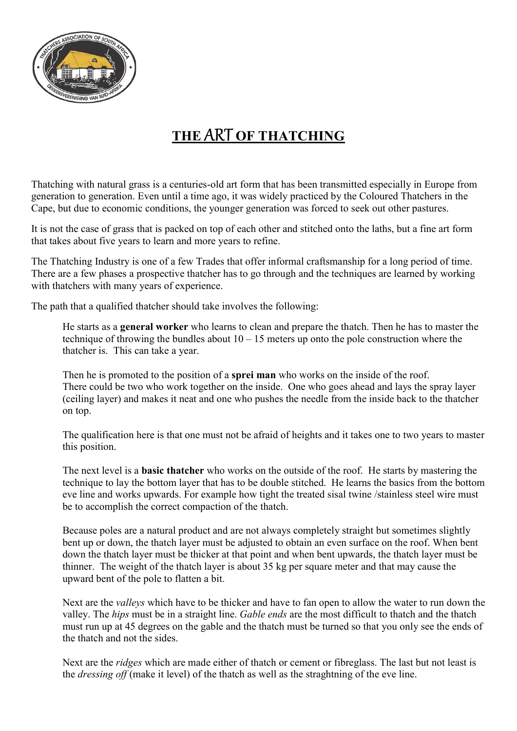

## THE ART OF THATCHING

Thatching with natural grass is a centuries-old art form that has been transmitted especially in Europe from generation to generation. Even until a time ago, it was widely practiced by the Coloured Thatchers in the Cape, but due to economic conditions, the younger generation was forced to seek out other pastures.

It is not the case of grass that is packed on top of each other and stitched onto the laths, but a fine art form that takes about five years to learn and more years to refine.

The Thatching Industry is one of a few Trades that offer informal craftsmanship for a long period of time. There are a few phases a prospective thatcher has to go through and the techniques are learned by working with thatchers with many years of experience.

The path that a qualified thatcher should take involves the following:

He starts as a general worker who learns to clean and prepare the thatch. Then he has to master the technique of throwing the bundles about  $10 - 15$  meters up onto the pole construction where the thatcher is. This can take a year.

Then he is promoted to the position of a **sprei man** who works on the inside of the roof. There could be two who work together on the inside. One who goes ahead and lays the spray layer (ceiling layer) and makes it neat and one who pushes the needle from the inside back to the thatcher on top.

The qualification here is that one must not be afraid of heights and it takes one to two years to master this position.

The next level is a **basic thatcher** who works on the outside of the roof. He starts by mastering the technique to lay the bottom layer that has to be double stitched. He learns the basics from the bottom eve line and works upwards. For example how tight the treated sisal twine /stainless steel wire must be to accomplish the correct compaction of the thatch.

Because poles are a natural product and are not always completely straight but sometimes slightly bent up or down, the thatch layer must be adjusted to obtain an even surface on the roof. When bent down the thatch layer must be thicker at that point and when bent upwards, the thatch layer must be thinner. The weight of the thatch layer is about 35 kg per square meter and that may cause the upward bent of the pole to flatten a bit.

Next are the valleys which have to be thicker and have to fan open to allow the water to run down the valley. The hips must be in a straight line. Gable ends are the most difficult to thatch and the thatch must run up at 45 degrees on the gable and the thatch must be turned so that you only see the ends of the thatch and not the sides.

Next are the *ridges* which are made either of thatch or cement or fibreglass. The last but not least is the *dressing off* (make it level) of the thatch as well as the straghtning of the eve line.